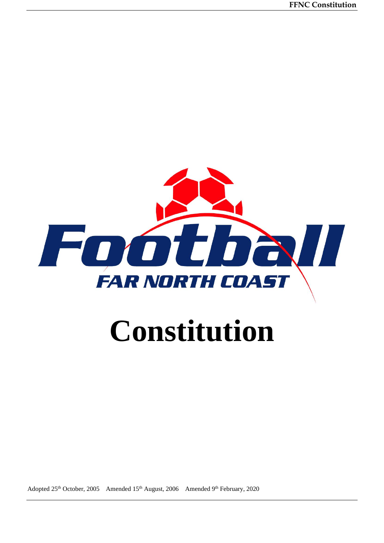

# **Constitution**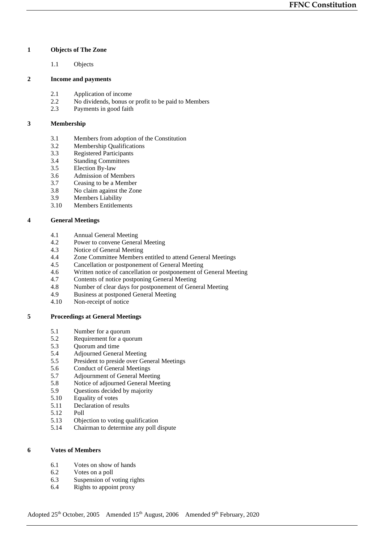# **1 Objects of The Zone**

1.1 Objects

# **2 Income and payments**

- 2.1 Application of income
- 2.2 No dividends, bonus or profit to be paid to Members<br>2.3 Payments in good faith
- Payments in good faith

# **3 Membership**

- 3.1 Members from adoption of the Constitution<br>3.2 Membership Qualifications
- Membership Qualifications
- 3.3 Registered Participants
- 3.4 Standing Committees
- 3.5 Election By-law
- 3.6 Admission of Members<br>3.7 Ceasing to be a Member
- 3.7 Ceasing to be a Member<br>3.8 No claim against the Zon
- No claim against the Zone
- 3.9 Members Liability<br>3.10 Members Entitlement
- Members Entitlements

# **4 General Meetings**

- 4.1 Annual General Meeting
- 4.2 Power to convene General Meeting<br>4.3 Notice of General Meeting
- 4.3 Notice of General Meeting<br>4.4 Zone Committee Members
- Zone Committee Members entitled to attend General Meetings
- 4.5 Cancellation or postponement of General Meeting<br>4.6 Written notice of cancellation or postponement of
- 4.6 Written notice of cancellation or postponement of General Meeting<br>4.7 Contents of notice postponing General Meeting
- 4.7 Contents of notice postponing General Meeting<br>4.8 Number of clear days for postponement of Gene
- 4.8 Number of clear days for postponement of General Meeting<br>4.9 Business at postponed General Meeting
- Business at postponed General Meeting
- 4.10 Non-receipt of notice

# **5 Proceedings at General Meetings**

- 5.1 Number for a quorum
- 5.2 Requirement for a quorum
- 5.3 Quorum and time
- 5.4 Adjourned General Meeting
- 5.5 President to preside over General Meetings
- 5.6 Conduct of General Meetings
- 5.7 Adjournment of General Meeting
- 5.8 Notice of adjourned General Meeting
- 5.9 Questions decided by majority
- 5.10 Equality of votes
- 5.11 Declaration of results
- 5.12 Poll
- 5.13 Objection to voting qualification
- 5.14 Chairman to determine any poll dispute

# **6 Votes of Members**

- 6.1 Votes on show of hands
- 6.2 Votes on a poll
- 6.3 Suspension of voting rights
- 6.4 Rights to appoint proxy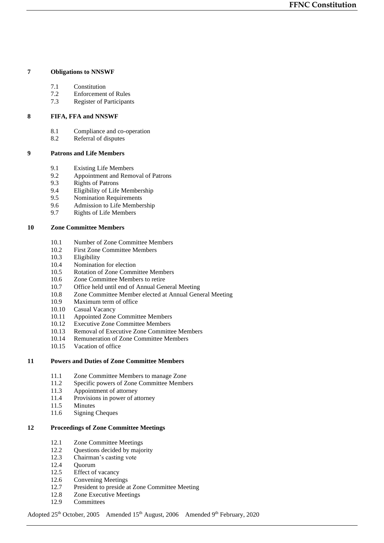# **7 Obligations to NNSWF**

- 7.1 Constitution
- 7.2 Enforcement of Rules
- 7.3 Register of Participants

# **8 FIFA, FFA and NNSWF**

- 8.1 Compliance and co-operation<br>8.2 Referral of disputes
- Referral of disputes

# **9 Patrons and Life Members**

- 9.1 Existing Life Members
- 9.2 Appointment and Removal of Patrons<br>9.3 Rights of Patrons
- 9.3 Rights of Patrons<br>9.4 Eligibility of Life
- 9.4 Eligibility of Life Membership
- 9.5 Nomination Requirements<br>9.6 Admission to Life Member
- 9.6 Admission to Life Membership<br>9.7 Rights of Life Members
- 9.7 Rights of Life Members

# **10 Zone Committee Members**

- 10.1 Number of Zone Committee Members<br>10.2 First Zone Committee Members
- 10.2 First Zone Committee Members<br>10.3 Eligibility
- Eligibility
- 10.4 Nomination for election<br>10.5 Rotation of Zone Comm
- 10.5 Rotation of Zone Committee Members<br>10.6 Zone Committee Members to retire
- Zone Committee Members to retire
- 10.7 Office held until end of Annual General Meeting<br>10.8 Zone Committee Member elected at Annual Gene
- Zone Committee Member elected at Annual General Meeting
- 10.9 Maximum term of office
- 10.10 Casual Vacancy
- 10.11 Appointed Zone Committee Members
- 10.12 Executive Zone Committee Members
- 10.13 Removal of Executive Zone Committee Members
- 10.14 Remuneration of Zone Committee Members
- 10.15 Vacation of office

# **11 Powers and Duties of Zone Committee Members**

- 11.1 Zone Committee Members to manage Zone
- 11.2 Specific powers of Zone Committee Members
- 11.3 Appointment of attorney
- 11.4 Provisions in power of attorney
- 11.5 Minutes
- 11.6 Signing Cheques

# **12 Proceedings of Zone Committee Meetings**

- 12.1 Zone Committee Meetings
- 12.2 Questions decided by majority
- 12.3 Chairman's casting vote
- 12.4 Quorum
- 12.5 Effect of vacancy
- 12.6 Convening Meetings
- 12.7 President to preside at Zone Committee Meeting
- 12.8 Zone Executive Meetings
- 12.9 Committees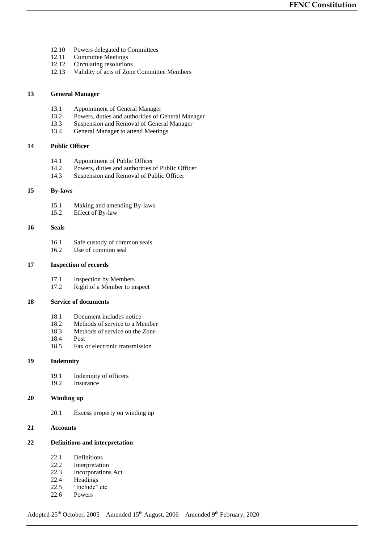- 12.10 Powers delegated to Committees<br>12.11 Committee Meetings
- 12.11 Committee Meetings<br>12.12 Circulating resolution
- Circulating resolutions
- 12.13 Validity of acts of Zone Committee Members

# **13 General Manager**

- 13.1 Appointment of General Manager<br>13.2 Powers, duties and authorities of C
- 13.2 Powers, duties and authorities of General Manager<br>13.3 Suspension and Removal of General Manager
- 13.3 Suspension and Removal of General Manager<br>13.4 General Manager to attend Meetings
- General Manager to attend Meetings

# **14 Public Officer**

- 14.1 Appointment of Public Officer<br>14.2 Powers, duties and authorities of
- Powers, duties and authorities of Public Officer
- 14.3 Suspension and Removal of Public Officer

# **15 By-laws**

- 15.1 Making and amending By-laws<br>15.2 Effect of By-law
- Effect of By-law

## **16 Seals**

- 16.1 Safe custody of common seals<br>16.2 Use of common seal
- Use of common seal

# **17 Inspection of records**

- 17.1 Inspection by Members<br>17.2 Right of a Member to in
- Right of a Member to inspect

# **18 Service of documents**

- 18.1 Document includes notice
- 18.2 Methods of service to a Member
- 18.3 Methods of service on the Zone
- 18.4 Post
- 18.5 Fax or electronic transmission

# **19 Indemnity**

- 19.1 Indemnity of officers
- 19.2 Insurance

# **20 Winding up**

20.1 Excess property on winding up

# **21 Accounts**

# **22 Definitions and interpretation**

- 22.1 Definitions
- 22.2 Interpretation
- 22.3 Incorporations Act
- 22.4 Headings
- 22.5 'Include" etc
- 22.6 Powers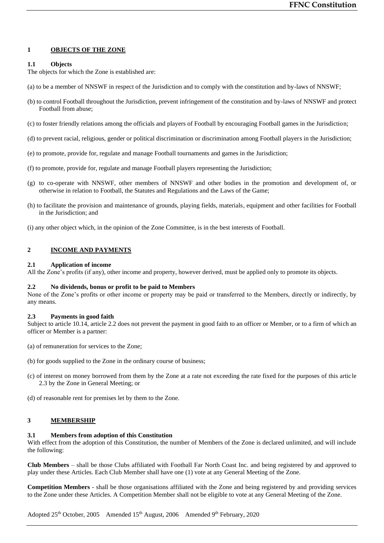# **1 OBJECTS OF THE ZONE**

# **1.1 Objects**

The objects for which the Zone is established are:

- (a) to be a member of NNSWF in respect of the Jurisdiction and to comply with the constitution and by-laws of NNSWF;
- (b) to control Football throughout the Jurisdiction, prevent infringement of the constitution and by-laws of NNSWF and protect Football from abuse;
- (c) to foster friendly relations among the officials and players of Football by encouraging Football games in the Jurisdiction;
- (d) to prevent racial, religious, gender or political discrimination or discrimination among Football players in the Jurisdiction;
- (e) to promote, provide for, regulate and manage Football tournaments and games in the Jurisdiction;
- (f) to promote, provide for, regulate and manage Football players representing the Jurisdiction;
- (g) to co-operate with NNSWF, other members of NNSWF and other bodies in the promotion and development of, or otherwise in relation to Football, the Statutes and Regulations and the Laws of the Game;
- (h) to facilitate the provision and maintenance of grounds, playing fields, materials, equipment and other facilities for Football in the Jurisdiction; and

(i) any other object which, in the opinion of the Zone Committee, is in the best interests of Football.

# **2 INCOME AND PAYMENTS**

#### **2.1 Application of income**

All the Zone's profits (if any), other income and property, however derived, must be applied only to promote its objects.

#### **2.2 No dividends, bonus or profit to be paid to Members**

None of the Zone's profits or other income or property may be paid or transferred to the Members, directly or indirectly, by any means.

#### **2.3 Payments in good faith**

Subject to article 10.14, article 2.2 does not prevent the payment in good faith to an officer or Member, or to a firm of which an officer or Member is a partner:

- (a) of remuneration for services to the Zone;
- (b) for goods supplied to the Zone in the ordinary course of business;
- (c) of interest on money borrowed from them by the Zone at a rate not exceeding the rate fixed for the purposes of this article 2.3 by the Zone in General Meeting; or
- (d) of reasonable rent for premises let by them to the Zone.

# **3 MEMBERSHIP**

# **3.1 Members from adoption of this Constitution**

With effect from the adoption of this Constitution, the number of Members of the Zone is declared unlimited, and will include the following:

**Club Members** – shall be those Clubs affiliated with Football Far North Coast Inc. and being registered by and approved to play under these Articles. Each Club Member shall have one (1) vote at any General Meeting of the Zone.

**Competition Members** - shall be those organisations affiliated with the Zone and being registered by and providing services to the Zone under these Articles. A Competition Member shall not be eligible to vote at any General Meeting of the Zone.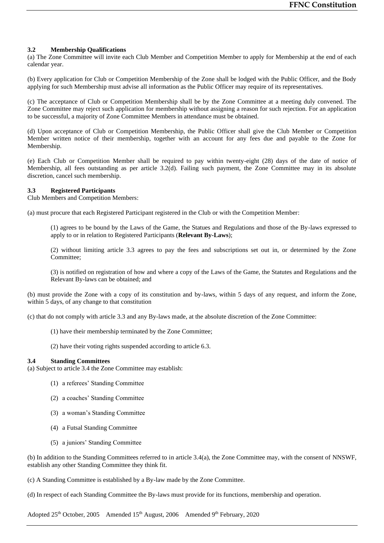# **3.2 Membership Qualifications**

(a) The Zone Committee will invite each Club Member and Competition Member to apply for Membership at the end of each calendar year.

(b) Every application for Club or Competition Membership of the Zone shall be lodged with the Public Officer, and the Body applying for such Membership must advise all information as the Public Officer may require of its representatives.

(c) The acceptance of Club or Competition Membership shall be by the Zone Committee at a meeting duly convened. The Zone Committee may reject such application for membership without assigning a reason for such rejection. For an application to be successful, a majority of Zone Committee Members in attendance must be obtained.

(d) Upon acceptance of Club or Competition Membership, the Public Officer shall give the Club Member or Competition Member written notice of their membership, together with an account for any fees due and payable to the Zone for Membership.

(e) Each Club or Competition Member shall be required to pay within twenty-eight (28) days of the date of notice of Membership, all fees outstanding as per article 3.2(d). Failing such payment, the Zone Committee may in its absolute discretion, cancel such membership.

## **3.3 Registered Participants**

Club Members and Competition Members:

(a) must procure that each Registered Participant registered in the Club or with the Competition Member:

(1) agrees to be bound by the Laws of the Game, the Statues and Regulations and those of the By-laws expressed to apply to or in relation to Registered Participants (**Relevant By-Laws**);

(2) without limiting article 3.3 agrees to pay the fees and subscriptions set out in, or determined by the Zone Committee;

(3) is notified on registration of how and where a copy of the Laws of the Game, the Statutes and Regulations and the Relevant By-laws can be obtained; and

(b) must provide the Zone with a copy of its constitution and by-laws, within 5 days of any request, and inform the Zone, within 5 days, of any change to that constitution

(c) that do not comply with article 3.3 and any By-laws made, at the absolute discretion of the Zone Committee:

- (1) have their membership terminated by the Zone Committee;
- (2) have their voting rights suspended according to article 6.3.

#### **3.4 Standing Committees**

(a) Subject to article 3.4 the Zone Committee may establish:

- (1) a referees' Standing Committee
- (2) a coaches' Standing Committee
- (3) a woman's Standing Committee
- (4) a Futsal Standing Committee
- (5) a juniors' Standing Committee

(b) In addition to the Standing Committees referred to in article 3.4(a), the Zone Committee may, with the consent of NNSWF, establish any other Standing Committee they think fit.

(c) A Standing Committee is established by a By-law made by the Zone Committee.

(d) In respect of each Standing Committee the By-laws must provide for its functions, membership and operation.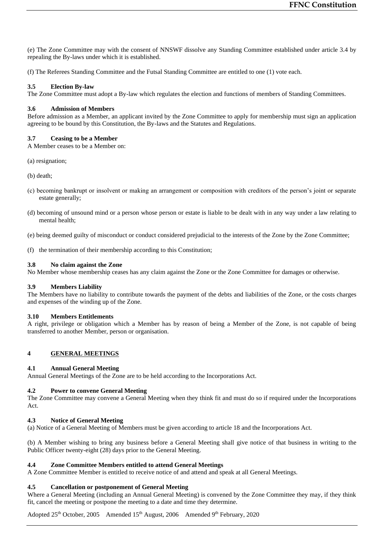(e) The Zone Committee may with the consent of NNSWF dissolve any Standing Committee established under article 3.4 by repealing the By-laws under which it is established.

(f) The Referees Standing Committee and the Futsal Standing Committee are entitled to one (1) vote each.

## **3.5 Election By-law**

The Zone Committee must adopt a By-law which regulates the election and functions of members of Standing Committees.

# **3.6 Admission of Members**

Before admission as a Member, an applicant invited by the Zone Committee to apply for membership must sign an application agreeing to be bound by this Constitution, the By-laws and the Statutes and Regulations.

## **3.7 Ceasing to be a Member**

A Member ceases to be a Member on:

(a) resignation;

(b) death;

- (c) becoming bankrupt or insolvent or making an arrangement or composition with creditors of the person's joint or separate estate generally;
- (d) becoming of unsound mind or a person whose person or estate is liable to be dealt with in any way under a law relating to mental health;
- (e) being deemed guilty of misconduct or conduct considered prejudicial to the interests of the Zone by the Zone Committee;
- (f) the termination of their membership according to this Constitution;

## **3.8 No claim against the Zone**

No Member whose membership ceases has any claim against the Zone or the Zone Committee for damages or otherwise.

#### **3.9 Members Liability**

The Members have no liability to contribute towards the payment of the debts and liabilities of the Zone, or the costs charges and expenses of the winding up of the Zone.

#### **3.10 Members Entitlements**

A right, privilege or obligation which a Member has by reason of being a Member of the Zone, is not capable of being transferred to another Member, person or organisation.

# **4 GENERAL MEETINGS**

# **4.1 Annual General Meeting**

Annual General Meetings of the Zone are to be held according to the Incorporations Act.

# **4.2 Power to convene General Meeting**

The Zone Committee may convene a General Meeting when they think fit and must do so if required under the Incorporations Act.

# **4.3 Notice of General Meeting**

(a) Notice of a General Meeting of Members must be given according to article 18 and the Incorporations Act.

(b) A Member wishing to bring any business before a General Meeting shall give notice of that business in writing to the Public Officer twenty-eight (28) days prior to the General Meeting.

#### **4.4 Zone Committee Members entitled to attend General Meetings**

A Zone Committee Member is entitled to receive notice of and attend and speak at all General Meetings.

# **4.5 Cancellation or postponement of General Meeting**

Where a General Meeting (including an Annual General Meeting) is convened by the Zone Committee they may, if they think fit, cancel the meeting or postpone the meeting to a date and time they determine.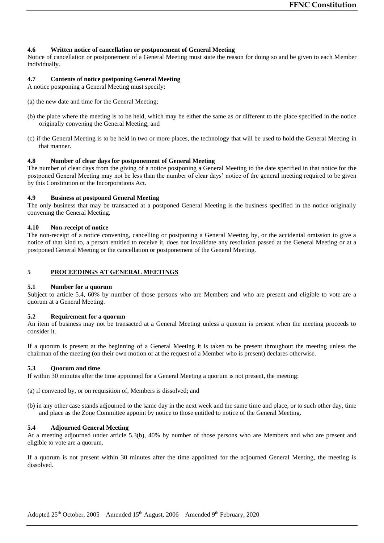# **4.6 Written notice of cancellation or postponement of General Meeting**

Notice of cancellation or postponement of a General Meeting must state the reason for doing so and be given to each Member individually.

# **4.7 Contents of notice postponing General Meeting**

A notice postponing a General Meeting must specify:

- (a) the new date and time for the General Meeting;
- (b) the place where the meeting is to be held, which may be either the same as or different to the place specified in the notice originally convening the General Meeting; and
- (c) if the General Meeting is to be held in two or more places, the technology that will be used to hold the General Meeting in that manner.

# **4.8 Number of clear days for postponement of General Meeting**

The number of clear days from the giving of a notice postponing a General Meeting to the date specified in that notice for the postponed General Meeting may not be less than the number of clear days' notice of the general meeting required to be given by this Constitution or the Incorporations Act.

## **4.9 Business at postponed General Meeting**

The only business that may be transacted at a postponed General Meeting is the business specified in the notice originally convening the General Meeting.

## **4.10 Non-receipt of notice**

The non-receipt of a notice convening, cancelling or postponing a General Meeting by, or the accidental omission to give a notice of that kind to, a person entitled to receive it, does not invalidate any resolution passed at the General Meeting or at a postponed General Meeting or the cancellation or postponement of the General Meeting.

# **5 PROCEEDINGS AT GENERAL MEETINGS**

#### **5.1 Number for a quorum**

Subject to article 5.4, 60% by number of those persons who are Members and who are present and eligible to vote are a quorum at a General Meeting.

# **5.2 Requirement for a quorum**

An item of business may not be transacted at a General Meeting unless a quorum is present when the meeting proceeds to consider it.

If a quorum is present at the beginning of a General Meeting it is taken to be present throughout the meeting unless the chairman of the meeting (on their own motion or at the request of a Member who is present) declares otherwise.

# **5.3 Quorum and time**

If within 30 minutes after the time appointed for a General Meeting a quorum is not present, the meeting:

(a) if convened by, or on requisition of, Members is dissolved; and

(b) in any other case stands adjourned to the same day in the next week and the same time and place, or to such other day, time and place as the Zone Committee appoint by notice to those entitled to notice of the General Meeting.

## **5.4 Adjourned General Meeting**

At a meeting adjourned under article 5.3(b), 40% by number of those persons who are Members and who are present and eligible to vote are a quorum.

If a quorum is not present within 30 minutes after the time appointed for the adjourned General Meeting, the meeting is dissolved.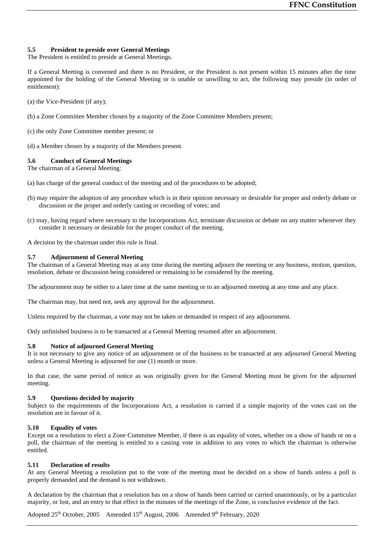# **5.5 President to preside over General Meetings**

The President is entitled to preside at General Meetings.

If a General Meeting is convened and there is no President, or the President is not present within 15 minutes after the time appointed for the holding of the General Meeting or is unable or unwilling to act, the following may preside (in order of entitlement):

(a) the Vice-President (if any);

- (b) a Zone Committee Member chosen by a majority of the Zone Committee Members present;
- (c) the only Zone Committee member present; or
- (d) a Member chosen by a majority of the Members present.

## **5.6 Conduct of General Meetings**

The chairman of a General Meeting:

- (a) has charge of the general conduct of the meeting and of the procedures to be adopted;
- (b) may require the adoption of any procedure which is in their opinion necessary or desirable for proper and orderly debate or discussion or the proper and orderly casting or recording of votes; and
- (c) may, having regard where necessary to the Incorporations Act, terminate discussion or debate on any matter whenever they consider it necessary or desirable for the proper conduct of the meeting.

A decision by the chairman under this rule is final.

## **5.7 Adjournment of General Meeting**

The chairman of a General Meeting may at any time during the meeting adjourn the meeting or any business, motion, question, resolution, debate or discussion being considered or remaining to be considered by the meeting.

The adjournment may be either to a later time at the same meeting or to an adjourned meeting at any time and any place.

The chairman may, but need not, seek any approval for the adjournment.

Unless required by the chairman, a vote may not be taken or demanded in respect of any adjournment.

Only unfinished business is to be transacted at a General Meeting resumed after an adjournment.

#### **5.8 Notice of adjourned General Meeting**

It is not necessary to give any notice of an adjournment or of the business to be transacted at any adjourned General Meeting unless a General Meeting is adjourned for one (1) month or more.

In that case, the same period of notice as was originally given for the General Meeting must be given for the adjourned meeting.

## **5.9 Questions decided by majority**

Subject to the requirements of the Incorporations Act, a resolution is carried if a simple majority of the votes cast on the resolution are in favour of it.

# **5.10 Equality of votes**

Except on a resolution to elect a Zone Committee Member, if there is an equality of votes, whether on a show of hands or on a poll, the chairman of the meeting is entitled to a casting vote in addition to any votes to which the chairman is otherwise entitled.

#### **5.11 Declaration of results**

At any General Meeting a resolution put to the vote of the meeting must be decided on a show of hands unless a poll is properly demanded and the demand is not withdrawn.

A declaration by the chairman that a resolution has on a show of hands been carried or carried unanimously, or by a particular majority, or lost, and an entry to that effect in the minutes of the meetings of the Zone, is conclusive evidence of the fact.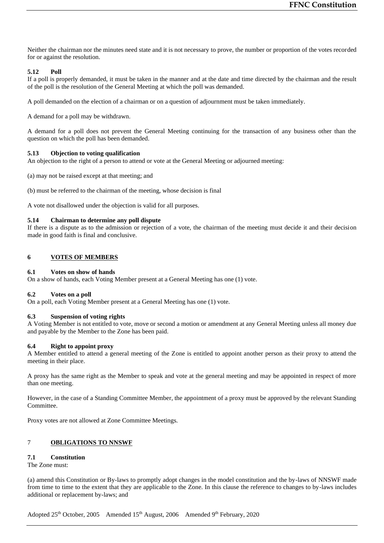Neither the chairman nor the minutes need state and it is not necessary to prove, the number or proportion of the votes recorded for or against the resolution.

# **5.12 Poll**

If a poll is properly demanded, it must be taken in the manner and at the date and time directed by the chairman and the result of the poll is the resolution of the General Meeting at which the poll was demanded.

A poll demanded on the election of a chairman or on a question of adjournment must be taken immediately.

A demand for a poll may be withdrawn.

A demand for a poll does not prevent the General Meeting continuing for the transaction of any business other than the question on which the poll has been demanded.

## **5.13 Objection to voting qualification**

An objection to the right of a person to attend or vote at the General Meeting or adjourned meeting:

(a) may not be raised except at that meeting; and

(b) must be referred to the chairman of the meeting, whose decision is final

A vote not disallowed under the objection is valid for all purposes.

## **5.14 Chairman to determine any poll dispute**

If there is a dispute as to the admission or rejection of a vote, the chairman of the meeting must decide it and their decision made in good faith is final and conclusive.

# **6 VOTES OF MEMBERS**

#### **6.1 Votes on show of hands**

On a show of hands, each Voting Member present at a General Meeting has one (1) vote.

# **6.2 Votes on a poll**

On a poll, each Voting Member present at a General Meeting has one (1) vote.

# **6.3 Suspension of voting rights**

A Voting Member is not entitled to vote, move or second a motion or amendment at any General Meeting unless all money due and payable by the Member to the Zone has been paid.

#### **6.4 Right to appoint proxy**

A Member entitled to attend a general meeting of the Zone is entitled to appoint another person as their proxy to attend the meeting in their place.

A proxy has the same right as the Member to speak and vote at the general meeting and may be appointed in respect of more than one meeting.

However, in the case of a Standing Committee Member, the appointment of a proxy must be approved by the relevant Standing Committee.

Proxy votes are not allowed at Zone Committee Meetings.

# 7 **OBLIGATIONS TO NNSWF**

# **7.1 Constitution**

The Zone must:

(a) amend this Constitution or By-laws to promptly adopt changes in the model constitution and the by-laws of NNSWF made from time to time to the extent that they are applicable to the Zone. In this clause the reference to changes to by-laws includes additional or replacement by-laws; and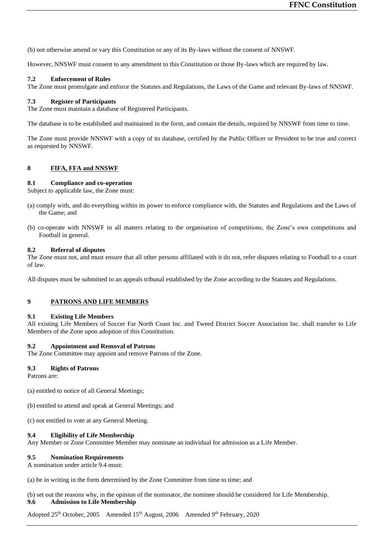(b) not otherwise amend or vary this Constitution or any of its By-laws without the consent of NNSWF.

However, NNSWF must consent to any amendment to this Constitution or those By-laws which are required by law.

# **7.2 Enforcement of Rules**

The Zone must promulgate and enforce the Statutes and Regulations, the Laws of the Game and relevant By-laws of NNSWF.

# **7.3 Register of Participants**

The Zone must maintain a database of Registered Participants.

The database is to be established and maintained in the form, and contain the details, required by NNSWF from time to time.

The Zone must provide NNSWF with a copy of its database, certified by the Public Officer or President to be true and correct as requested by NNSWF.

# **8 FIFA, FFA and NNSWF**

## **8.1 Compliance and co-operation**

Subject to applicable law, the Zone must:

- (a) comply with, and do everything within its power to enforce compliance with, the Statutes and Regulations and the Laws of the Game; and
- (b) co-operate with NNSWF in all matters relating to the organisation of competitions, the Zone's own competitions and Football in general.

#### **8.2 Referral of disputes**

The Zone must not, and must ensure that all other persons affiliated with it do not, refer disputes relating to Football to a court of law.

All disputes must be submitted to an appeals tribunal established by the Zone according to the Statutes and Regulations.

# **9 PATRONS AND LIFE MEMBERS**

#### **9.1 Existing Life Members**

All existing Life Members of Soccer Far North Coast Inc. and Tweed District Soccer Association Inc. shall transfer to Life Members of the Zone upon adoption of this Constitution.

#### **9.2 Appointment and Removal of Patrons**

The Zone Committee may appoint and remove Patrons of the Zone.

#### **9.3 Rights of Patrons**

Patrons are:

- (a) entitled to notice of all General Meetings;
- (b) entitled to attend and speak at General Meetings; and
- (c) not entitled to vote at any General Meeting.

# **9.4 Eligibility of Life Membership**

Any Member or Zone Committee Member may nominate an individual for admission as a Life Member.

#### **9.5 Nomination Requirements**

A nomination under article 9.4 must:

(a) be in writing in the form determined by the Zone Committee from time to time; and

(b) set out the reasons why, in the opinion of the nominator, the nominee should be considered for Life Membership. **9.6 Admission to Life Membership**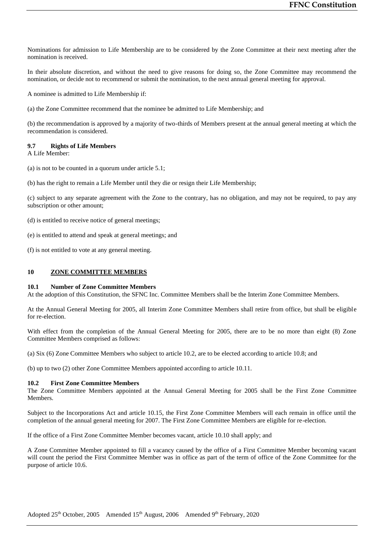Nominations for admission to Life Membership are to be considered by the Zone Committee at their next meeting after the nomination is received.

In their absolute discretion, and without the need to give reasons for doing so, the Zone Committee may recommend the nomination, or decide not to recommend or submit the nomination, to the next annual general meeting for approval.

A nominee is admitted to Life Membership if:

(a) the Zone Committee recommend that the nominee be admitted to Life Membership; and

(b) the recommendation is approved by a majority of two-thirds of Members present at the annual general meeting at which the recommendation is considered.

# **9.7 Rights of Life Members**

A Life Member:

- (a) is not to be counted in a quorum under article 5.1;
- (b) has the right to remain a Life Member until they die or resign their Life Membership;

(c) subject to any separate agreement with the Zone to the contrary, has no obligation, and may not be required, to pay any subscription or other amount;

- (d) is entitled to receive notice of general meetings;
- (e) is entitled to attend and speak at general meetings; and
- (f) is not entitled to vote at any general meeting.

## **10 ZONE COMMITTEE MEMBERS**

#### **10.1 Number of Zone Committee Members**

At the adoption of this Constitution, the SFNC Inc. Committee Members shall be the Interim Zone Committee Members.

At the Annual General Meeting for 2005, all Interim Zone Committee Members shall retire from office, but shall be eligible for re-election.

With effect from the completion of the Annual General Meeting for 2005, there are to be no more than eight (8) Zone Committee Members comprised as follows:

(a) Six (6) Zone Committee Members who subject to article 10.2, are to be elected according to article 10.8; and

(b) up to two (2) other Zone Committee Members appointed according to article 10.11.

#### **10.2 First Zone Committee Members**

The Zone Committee Members appointed at the Annual General Meeting for 2005 shall be the First Zone Committee Members.

Subject to the Incorporations Act and article 10.15, the First Zone Committee Members will each remain in office until the completion of the annual general meeting for 2007. The First Zone Committee Members are eligible for re-election.

If the office of a First Zone Committee Member becomes vacant, article 10.10 shall apply; and

A Zone Committee Member appointed to fill a vacancy caused by the office of a First Committee Member becoming vacant will count the period the First Committee Member was in office as part of the term of office of the Zone Committee for the purpose of article 10.6.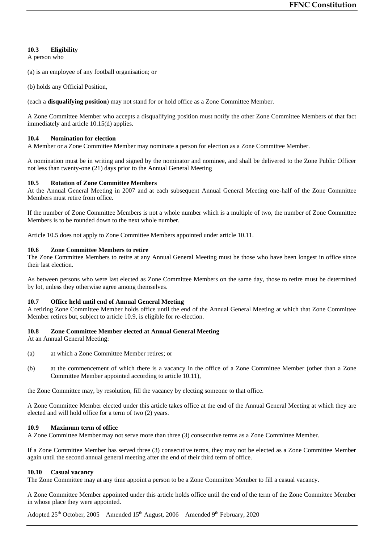# **10.3 Eligibility**

A person who

(a) is an employee of any football organisation; or

(b) holds any Official Position,

(each a **disqualifying position**) may not stand for or hold office as a Zone Committee Member.

A Zone Committee Member who accepts a disqualifying position must notify the other Zone Committee Members of that fact immediately and article 10.15(d) applies.

# **10.4 Nomination for election**

A Member or a Zone Committee Member may nominate a person for election as a Zone Committee Member.

A nomination must be in writing and signed by the nominator and nominee, and shall be delivered to the Zone Public Officer not less than twenty-one (21) days prior to the Annual General Meeting

# **10.5 Rotation of Zone Committee Members**

At the Annual General Meeting in 2007 and at each subsequent Annual General Meeting one-half of the Zone Committee Members must retire from office.

If the number of Zone Committee Members is not a whole number which is a multiple of two, the number of Zone Committee Members is to be rounded down to the next whole number.

Article 10.5 does not apply to Zone Committee Members appointed under article 10.11.

# **10.6 Zone Committee Members to retire**

The Zone Committee Members to retire at any Annual General Meeting must be those who have been longest in office since their last election.

As between persons who were last elected as Zone Committee Members on the same day, those to retire must be determined by lot, unless they otherwise agree among themselves.

# **10.7 Office held until end of Annual General Meeting**

A retiring Zone Committee Member holds office until the end of the Annual General Meeting at which that Zone Committee Member retires but, subject to article 10.9, is eligible for re-election.

#### **10.8 Zone Committee Member elected at Annual General Meeting**

At an Annual General Meeting:

- (a) at which a Zone Committee Member retires; or
- (b) at the commencement of which there is a vacancy in the office of a Zone Committee Member (other than a Zone Committee Member appointed according to article 10.11),

the Zone Committee may, by resolution, fill the vacancy by electing someone to that office.

A Zone Committee Member elected under this article takes office at the end of the Annual General Meeting at which they are elected and will hold office for a term of two (2) years.

# **10.9 Maximum term of office**

A Zone Committee Member may not serve more than three (3) consecutive terms as a Zone Committee Member.

If a Zone Committee Member has served three (3) consecutive terms, they may not be elected as a Zone Committee Member again until the second annual general meeting after the end of their third term of office.

# **10.10 Casual vacancy**

The Zone Committee may at any time appoint a person to be a Zone Committee Member to fill a casual vacancy.

A Zone Committee Member appointed under this article holds office until the end of the term of the Zone Committee Member in whose place they were appointed.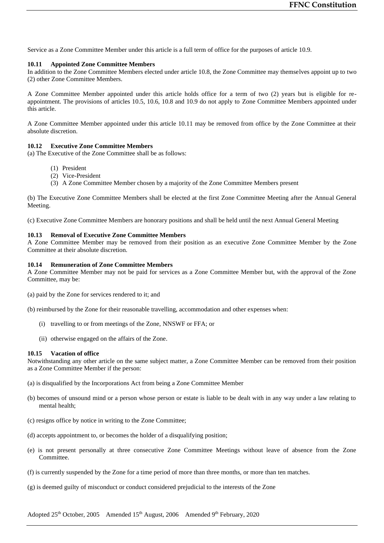Service as a Zone Committee Member under this article is a full term of office for the purposes of article 10.9.

#### **10.11 Appointed Zone Committee Members**

In addition to the Zone Committee Members elected under article 10.8, the Zone Committee may themselves appoint up to two (2) other Zone Committee Members.

A Zone Committee Member appointed under this article holds office for a term of two (2) years but is eligible for reappointment. The provisions of articles 10.5, 10.6, 10.8 and 10.9 do not apply to Zone Committee Members appointed under this article.

A Zone Committee Member appointed under this article 10.11 may be removed from office by the Zone Committee at their absolute discretion.

# **10.12 Executive Zone Committee Members**

(a) The Executive of the Zone Committee shall be as follows:

- (1) President
- (2) Vice-President
- (3) A Zone Committee Member chosen by a majority of the Zone Committee Members present

(b) The Executive Zone Committee Members shall be elected at the first Zone Committee Meeting after the Annual General Meeting.

(c) Executive Zone Committee Members are honorary positions and shall be held until the next Annual General Meeting

## **10.13 Removal of Executive Zone Committee Members**

A Zone Committee Member may be removed from their position as an executive Zone Committee Member by the Zone Committee at their absolute discretion.

## **10.14 Remuneration of Zone Committee Members**

A Zone Committee Member may not be paid for services as a Zone Committee Member but, with the approval of the Zone Committee, may be:

(a) paid by the Zone for services rendered to it; and

(b) reimbursed by the Zone for their reasonable travelling, accommodation and other expenses when:

- (i) travelling to or from meetings of the Zone, NNSWF or FFA; or
- (ii) otherwise engaged on the affairs of the Zone.

## **10.15 Vacation of office**

Notwithstanding any other article on the same subject matter, a Zone Committee Member can be removed from their position as a Zone Committee Member if the person:

- (a) is disqualified by the Incorporations Act from being a Zone Committee Member
- (b) becomes of unsound mind or a person whose person or estate is liable to be dealt with in any way under a law relating to mental health;
- (c) resigns office by notice in writing to the Zone Committee;
- (d) accepts appointment to, or becomes the holder of a disqualifying position;
- (e) is not present personally at three consecutive Zone Committee Meetings without leave of absence from the Zone Committee.
- (f) is currently suspended by the Zone for a time period of more than three months, or more than ten matches.
- (g) is deemed guilty of misconduct or conduct considered prejudicial to the interests of the Zone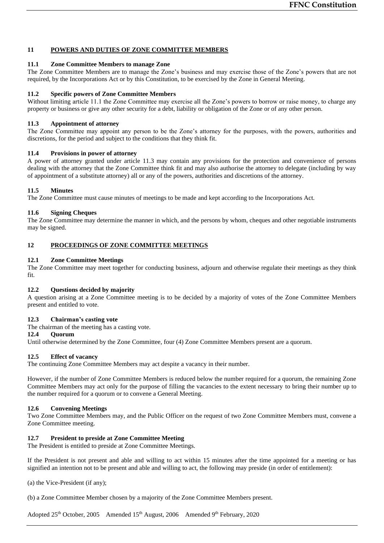# **11 POWERS AND DUTIES OF ZONE COMMITTEE MEMBERS**

# **11.1 Zone Committee Members to manage Zone**

The Zone Committee Members are to manage the Zone's business and may exercise those of the Zone's powers that are not required, by the Incorporations Act or by this Constitution, to be exercised by the Zone in General Meeting.

# **11.2 Specific powers of Zone Committee Members**

Without limiting article 11.1 the Zone Committee may exercise all the Zone's powers to borrow or raise money, to charge any property or business or give any other security for a debt, liability or obligation of the Zone or of any other person.

# **11.3 Appointment of attorney**

The Zone Committee may appoint any person to be the Zone's attorney for the purposes, with the powers, authorities and discretions, for the period and subject to the conditions that they think fit.

## **11.4 Provisions in power of attorney**

A power of attorney granted under article 11.3 may contain any provisions for the protection and convenience of persons dealing with the attorney that the Zone Committee think fit and may also authorise the attorney to delegate (including by way of appointment of a substitute attorney) all or any of the powers, authorities and discretions of the attorney.

## **11.5 Minutes**

The Zone Committee must cause minutes of meetings to be made and kept according to the Incorporations Act.

# **11.6 Signing Cheques**

The Zone Committee may determine the manner in which, and the persons by whom, cheques and other negotiable instruments may be signed.

# **12 PROCEEDINGS OF ZONE COMMITTEE MEETINGS**

#### **12.1 Zone Committee Meetings**

The Zone Committee may meet together for conducting business, adjourn and otherwise regulate their meetings as they think fit.

#### **12.2 Questions decided by majority**

A question arising at a Zone Committee meeting is to be decided by a majority of votes of the Zone Committee Members present and entitled to vote.

# **12.3 Chairman's casting vote**

The chairman of the meeting has a casting vote.

# **12.4 Quorum**

Until otherwise determined by the Zone Committee, four (4) Zone Committee Members present are a quorum.

# **12.5 Effect of vacancy**

The continuing Zone Committee Members may act despite a vacancy in their number.

However, if the number of Zone Committee Members is reduced below the number required for a quorum, the remaining Zone Committee Members may act only for the purpose of filling the vacancies to the extent necessary to bring their number up to the number required for a quorum or to convene a General Meeting.

# **12.6 Convening Meetings**

Two Zone Committee Members may, and the Public Officer on the request of two Zone Committee Members must, convene a Zone Committee meeting.

# **12.7 President to preside at Zone Committee Meeting**

The President is entitled to preside at Zone Committee Meetings.

If the President is not present and able and willing to act within 15 minutes after the time appointed for a meeting or has signified an intention not to be present and able and willing to act, the following may preside (in order of entitlement):

(a) the Vice-President (if any);

(b) a Zone Committee Member chosen by a majority of the Zone Committee Members present.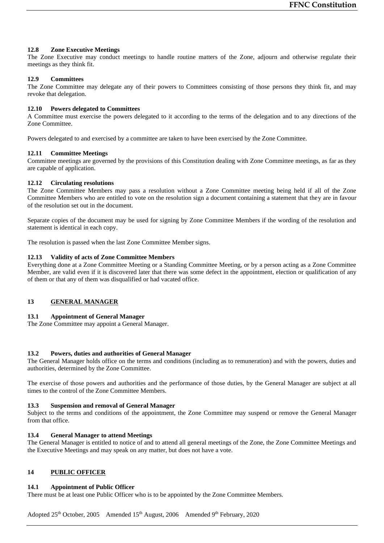# **12.8 Zone Executive Meetings**

The Zone Executive may conduct meetings to handle routine matters of the Zone, adjourn and otherwise regulate their meetings as they think fit.

# **12.9 Committees**

The Zone Committee may delegate any of their powers to Committees consisting of those persons they think fit, and may revoke that delegation.

# **12.10 Powers delegated to Committees**

A Committee must exercise the powers delegated to it according to the terms of the delegation and to any directions of the Zone Committee.

Powers delegated to and exercised by a committee are taken to have been exercised by the Zone Committee.

# **12.11 Committee Meetings**

Committee meetings are governed by the provisions of this Constitution dealing with Zone Committee meetings, as far as they are capable of application.

# **12.12 Circulating resolutions**

The Zone Committee Members may pass a resolution without a Zone Committee meeting being held if all of the Zone Committee Members who are entitled to vote on the resolution sign a document containing a statement that they are in favour of the resolution set out in the document.

Separate copies of the document may be used for signing by Zone Committee Members if the wording of the resolution and statement is identical in each copy.

The resolution is passed when the last Zone Committee Member signs.

# **12.13 Validity of acts of Zone Committee Members**

Everything done at a Zone Committee Meeting or a Standing Committee Meeting, or by a person acting as a Zone Committee Member, are valid even if it is discovered later that there was some defect in the appointment, election or qualification of any of them or that any of them was disqualified or had vacated office.

# **13 GENERAL MANAGER**

# **13.1 Appointment of General Manager**

The Zone Committee may appoint a General Manager.

# **13.2 Powers, duties and authorities of General Manager**

The General Manager holds office on the terms and conditions (including as to remuneration) and with the powers, duties and authorities, determined by the Zone Committee.

The exercise of those powers and authorities and the performance of those duties, by the General Manager are subject at all times to the control of the Zone Committee Members.

# **13.3 Suspension and removal of General Manager**

Subject to the terms and conditions of the appointment, the Zone Committee may suspend or remove the General Manager from that office.

# **13.4 General Manager to attend Meetings**

The General Manager is entitled to notice of and to attend all general meetings of the Zone, the Zone Committee Meetings and the Executive Meetings and may speak on any matter, but does not have a vote.

# **14 PUBLIC OFFICER**

# **14.1 Appointment of Public Officer**

There must be at least one Public Officer who is to be appointed by the Zone Committee Members.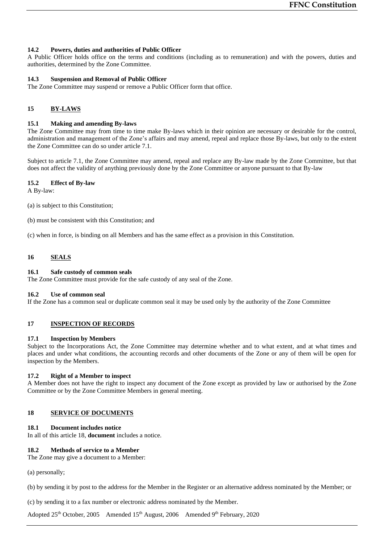# **14.2 Powers, duties and authorities of Public Officer**

A Public Officer holds office on the terms and conditions (including as to remuneration) and with the powers, duties and authorities, determined by the Zone Committee.

# **14.3 Suspension and Removal of Public Officer**

The Zone Committee may suspend or remove a Public Officer form that office.

# **15 BY-LAWS**

# **15.1 Making and amending By-laws**

The Zone Committee may from time to time make By-laws which in their opinion are necessary or desirable for the control, administration and management of the Zone's affairs and may amend, repeal and replace those By-laws, but only to the extent the Zone Committee can do so under article 7.1.

Subject to article 7.1, the Zone Committee may amend, repeal and replace any By-law made by the Zone Committee, but that does not affect the validity of anything previously done by the Zone Committee or anyone pursuant to that By-law

# **15.2 Effect of By-law**

A By-law:

- (a) is subject to this Constitution;
- (b) must be consistent with this Constitution; and
- (c) when in force, is binding on all Members and has the same effect as a provision in this Constitution.

# **16 SEALS**

# **16.1 Safe custody of common seals**

The Zone Committee must provide for the safe custody of any seal of the Zone.

# **16.2 Use of common seal**

If the Zone has a common seal or duplicate common seal it may be used only by the authority of the Zone Committee

# **17 INSPECTION OF RECORDS**

# **17.1 Inspection by Members**

Subject to the Incorporations Act, the Zone Committee may determine whether and to what extent, and at what times and places and under what conditions, the accounting records and other documents of the Zone or any of them will be open for inspection by the Members.

# **17.2 Right of a Member to inspect**

A Member does not have the right to inspect any document of the Zone except as provided by law or authorised by the Zone Committee or by the Zone Committee Members in general meeting.

# **18 SERVICE OF DOCUMENTS**

# **18.1 Document includes notice**

In all of this article 18, **document** includes a notice.

# **18.2 Methods of service to a Member**

The Zone may give a document to a Member:

(a) personally;

(b) by sending it by post to the address for the Member in the Register or an alternative address nominated by the Member; or

(c) by sending it to a fax number or electronic address nominated by the Member.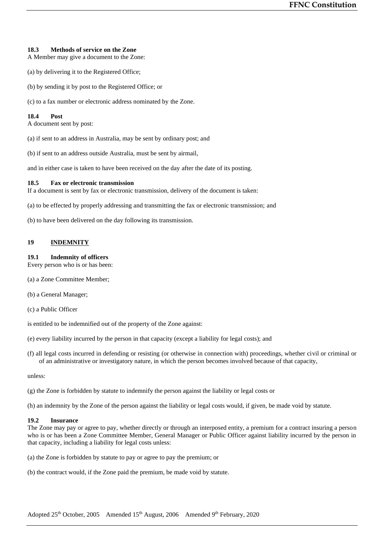# **18.3 Methods of service on the Zone**

A Member may give a document to the Zone:

- (a) by delivering it to the Registered Office;
- (b) by sending it by post to the Registered Office; or
- (c) to a fax number or electronic address nominated by the Zone.

## **18.4 Post**

A document sent by post:

- (a) if sent to an address in Australia, may be sent by ordinary post; and
- (b) if sent to an address outside Australia, must be sent by airmail,

and in either case is taken to have been received on the day after the date of its posting.

#### **18.5 Fax or electronic transmission**

If a document is sent by fax or electronic transmission, delivery of the document is taken:

(a) to be effected by properly addressing and transmitting the fax or electronic transmission; and

(b) to have been delivered on the day following its transmission.

# **19 INDEMNITY**

#### **19.1 Indemnity of officers**

Every person who is or has been:

- (a) a Zone Committee Member;
- (b) a General Manager;
- (c) a Public Officer

is entitled to be indemnified out of the property of the Zone against:

- (e) every liability incurred by the person in that capacity (except a liability for legal costs); and
- (f) all legal costs incurred in defending or resisting (or otherwise in connection with) proceedings, whether civil or criminal or of an administrative or investigatory nature, in which the person becomes involved because of that capacity,

unless:

(g) the Zone is forbidden by statute to indemnify the person against the liability or legal costs or

(h) an indemnity by the Zone of the person against the liability or legal costs would, if given, be made void by statute.

## **19.2 Insurance**

The Zone may pay or agree to pay, whether directly or through an interposed entity, a premium for a contract insuring a person who is or has been a Zone Committee Member, General Manager or Public Officer against liability incurred by the person in that capacity, including a liability for legal costs unless:

- (a) the Zone is forbidden by statute to pay or agree to pay the premium; or
- (b) the contract would, if the Zone paid the premium, be made void by statute.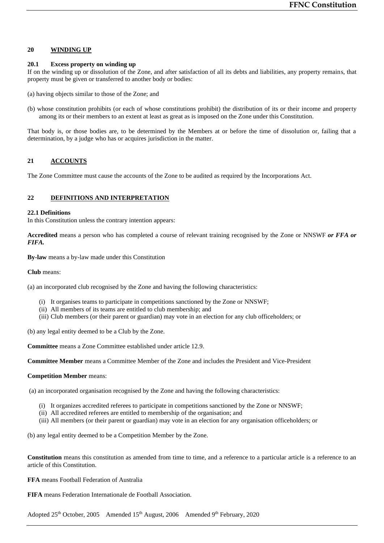# **20 WINDING UP**

# **20.1 Excess property on winding up**

If on the winding up or dissolution of the Zone, and after satisfaction of all its debts and liabilities, any property remains, that property must be given or transferred to another body or bodies:

- (a) having objects similar to those of the Zone; and
- (b) whose constitution prohibits (or each of whose constitutions prohibit) the distribution of its or their income and property among its or their members to an extent at least as great as is imposed on the Zone under this Constitution.

That body is, or those bodies are, to be determined by the Members at or before the time of dissolution or, failing that a determination, by a judge who has or acquires jurisdiction in the matter.

# **21 ACCOUNTS**

The Zone Committee must cause the accounts of the Zone to be audited as required by the Incorporations Act.

# **22 DEFINITIONS AND INTERPRETATION**

## **22.1 Definitions**

In this Constitution unless the contrary intention appears:

**Accredited** means a person who has completed a course of relevant training recognised by the Zone or NNSWF *or FFA or FIFA.*

**By-law** means a by-law made under this Constitution

**Club** means:

(a) an incorporated club recognised by the Zone and having the following characteristics:

- (i) It organises teams to participate in competitions sanctioned by the Zone or NNSWF;
- (ii) All members of its teams are entitled to club membership; and
- (iii) Club members (or their parent or guardian) may vote in an election for any club officeholders; or

(b) any legal entity deemed to be a Club by the Zone.

**Committee** means a Zone Committee established under article 12.9.

**Committee Member** means a Committee Member of the Zone and includes the President and Vice-President

#### **Competition Member** means:

(a) an incorporated organisation recognised by the Zone and having the following characteristics:

- (i) It organizes accredited referees to participate in competitions sanctioned by the Zone or NNSWF;
- (ii) All accredited referees are entitled to membership of the organisation; and
- (iii) All members (or their parent or guardian) may vote in an election for any organisation officeholders; or

(b) any legal entity deemed to be a Competition Member by the Zone.

**Constitution** means this constitution as amended from time to time, and a reference to a particular article is a reference to an article of this Constitution.

**FFA** means Football Federation of Australia

**FIFA** means Federation Internationale de Football Association.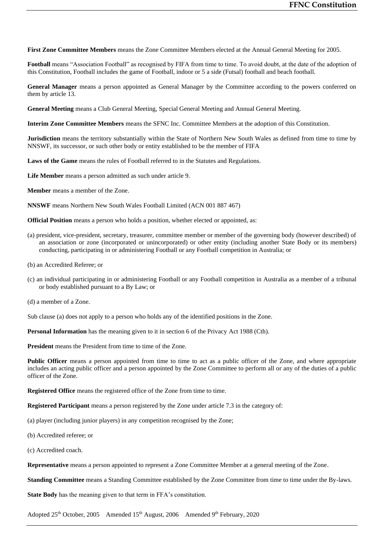**First Zone Committee Members** means the Zone Committee Members elected at the Annual General Meeting for 2005.

**Football** means "Association Football" as recognised by FIFA from time to time. To avoid doubt, at the date of the adoption of this Constitution, Football includes the game of Football, indoor or 5 a side (Futsal) football and beach football.

**General Manager** means a person appointed as General Manager by the Committee according to the powers conferred on them by article 13.

**General Meeting** means a Club General Meeting, Special General Meeting and Annual General Meeting.

**Interim Zone Committee Members** means the SFNC Inc. Committee Members at the adoption of this Constitution.

**Jurisdiction** means the territory substantially within the State of Northern New South Wales as defined from time to time by NNSWF, its successor, or such other body or entity established to be the member of FIFA

**Laws of the Game** means the rules of Football referred to in the Statutes and Regulations.

**Life Member** means a person admitted as such under article 9.

**Member** means a member of the Zone.

**NNSWF** means Northern New South Wales Football Limited (ACN 001 887 467)

**Official Position** means a person who holds a position, whether elected or appointed, as:

- (a) president, vice-president, secretary, treasurer, committee member or member of the governing body (however described) of an association or zone (incorporated or unincorporated) or other entity (including another State Body or its members) conducting, participating in or administering Football or any Football competition in Australia; or
- (b) an Accredited Referee; or
- (c) an individual participating in or administering Football or any Football competition in Australia as a member of a tribunal or body established pursuant to a By Law; or
- (d) a member of a Zone.

Sub clause (a) does not apply to a person who holds any of the identified positions in the Zone.

**Personal Information** has the meaning given to it in section 6 of the Privacy Act 1988 (Cth).

**President** means the President from time to time of the Zone.

**Public Officer** means a person appointed from time to time to act as a public officer of the Zone, and where appropriate includes an acting public officer and a person appointed by the Zone Committee to perform all or any of the duties of a public officer of the Zone.

**Registered Office** means the registered office of the Zone from time to time.

**Registered Participant** means a person registered by the Zone under article 7.3 in the category of:

(a) player (including junior players) in any competition recognised by the Zone;

- (b) Accredited referee; or
- (c) Accredited coach.

**Representative** means a person appointed to represent a Zone Committee Member at a general meeting of the Zone.

**Standing Committee** means a Standing Committee established by the Zone Committee from time to time under the By-laws.

**State Body** has the meaning given to that term in FFA's constitution.